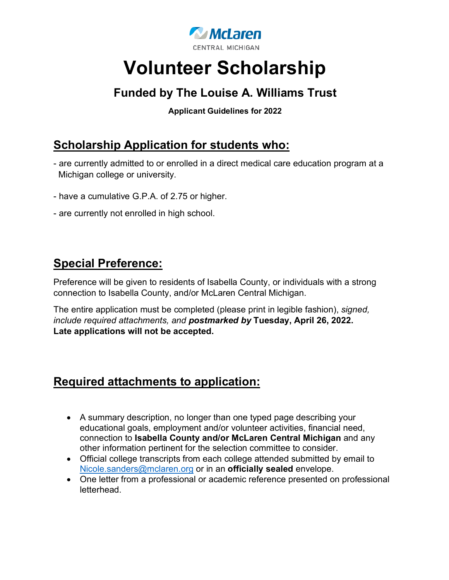

# **Volunteer Scholarship**

## **Funded by The Louise A. Williams Trust**

**Applicant Guidelines for 2022**

## **Scholarship Application for students who:**

- are currently admitted to or enrolled in a direct medical care education program at a Michigan college or university.
- have a cumulative G.P.A. of 2.75 or higher.
- are currently not enrolled in high school.

### **Special Preference:**

Preference will be given to residents of Isabella County, or individuals with a strong connection to Isabella County, and/or McLaren Central Michigan.

The entire application must be completed (please print in legible fashion), *signed, include required attachments, and postmarked by* **Tuesday, April 26, 2022. Late applications will not be accepted.**

### **Required attachments to application:**

- A summary description, no longer than one typed page describing your educational goals, employment and/or volunteer activities, financial need, connection to **Isabella County and/or McLaren Central Michigan** and any other information pertinent for the selection committee to consider.
- Official college transcripts from each college attended submitted by email to Nicole.sanders@mclaren.org or in an **officially sealed** envelope.
- One letter from a professional or academic reference presented on professional letterhead.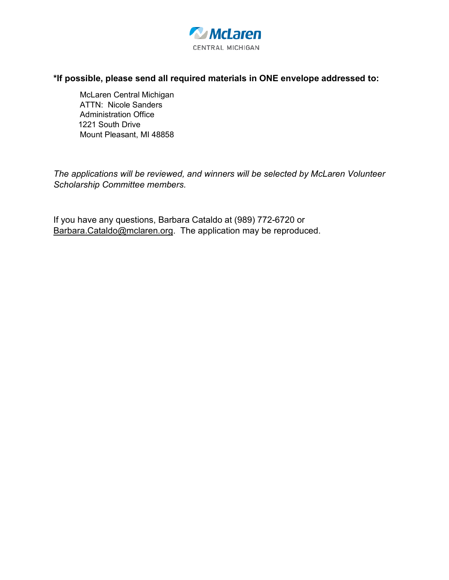

#### **\*If possible, please send all required materials in ONE envelope addressed to:**

McLaren Central Michigan ATTN: Nicole Sanders Administration Office 1221 South Drive Mount Pleasant, MI 48858

*The applications will be reviewed, and winners will be selected by McLaren Volunteer Scholarship Committee members.*

If you have any questions, Barbara Cataldo at (989) 772-6720 or Barbara.Cataldo@mclaren.org. The application may be reproduced.